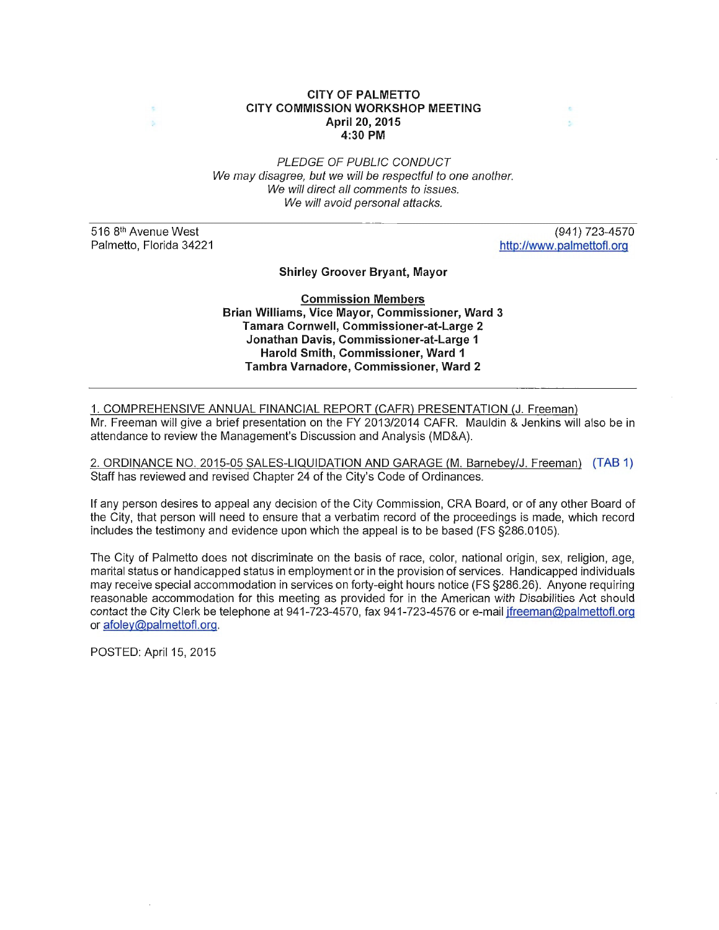#### **CITY OF PALMETTO CITY COMMISSION WORKSHOP MEETING April 20, 201 5 4:30 PM**

PLEDGE OF PUBLIC CONDUCT We may disagree, but we will be respectful to one another. We will direct all comments to issues. We will avoid personal attacks.

516 8<sup>th</sup> Avenue West Palmetto, Florida 34221

 $\lambda_2$ 

(941) 723-4570 http://www.palmettofl.org

×

**Shirley Groover Bryant, Mayor** 

**Commission Members Brian Williams, Vice Mayor, Commissioner, Ward 3 Tamara Cornwell, Commissioner-at-Large 2 Jonathan Davis, Commissioner-at-Large 1 Harold Smith, Commissioner, Ward 1 Tambra Varnadore, Commissioner, Ward 2** 

1. COMPREHENSIVE ANNUAL FINANCIAL REPORT (CAFR) PRESENTATION (J. Freeman) Mr. Freeman will give a brief presentation on the FY 2013/2014 CAFR. Mauldin & Jenkins will also be in attendance to review the Management's Discussion and Analysis (MD&A).

2. ORDINANCE NO. 2015-05 SALES-LIQUIDATION AND GARAGE (M. Barnebey/J. Freeman) (TAB 1) Staff has reviewed and revised Chapter 24 of the City's Code of Ordinances.

If any person desires to appeal any decision of the City Commission, CRA Board, or of any other Board of the City, that person will need to ensure that a verbatim record of the proceedings is made, which record includes the testimony and evidence upon which the appeal is to be based (FS §286.0105).

The City of Palmetto does not discriminate on the basis of race, color, national origin, sex, religion, age, marital status or handicapped status in employment or in the provision of services. Handicapped individuals may receive special accommodation in services on forty-eight hours notice (FS §286.26). Anyone requiring reasonable accommodation for this meeting as provided for in the American with Disabilities Act should contact the City Clerk be telephone at 941-723-4570, fax 941-723-4576 or e-mail jfreeman@palmettofl.org or afoley@palmettofl.org.

POSTED: April 15, 2015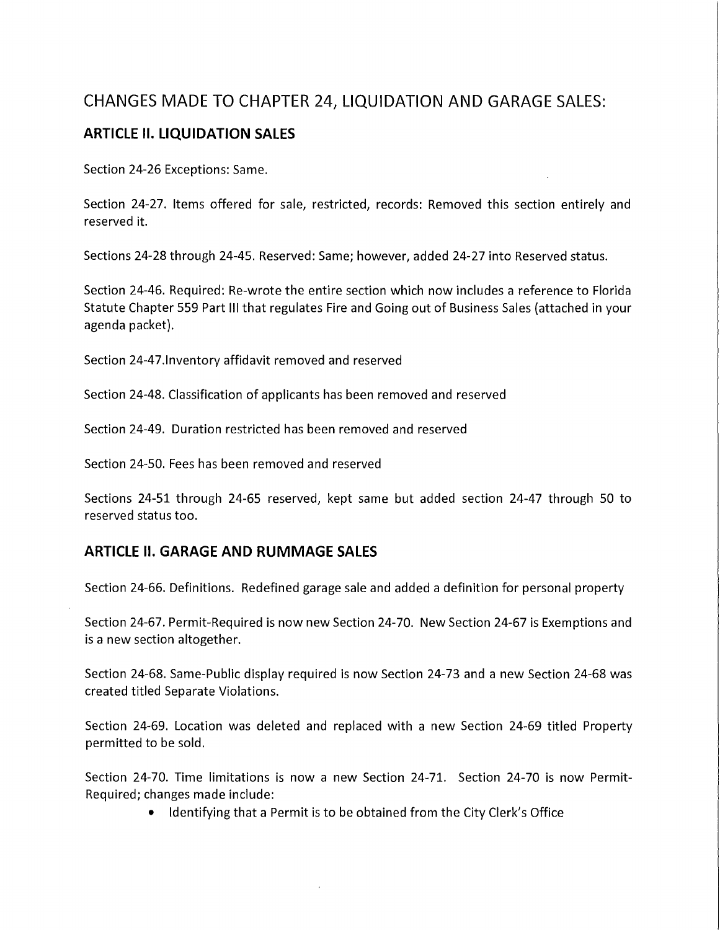# CHANGES MADE TO CHAPTER 24, LIQUIDATION AND GARAGE SALES:

# **ARTICLE II. LIQUIDATION SALES**

Section 24-26 Exceptions: Same.

Section 24-27. Items offered for sale, restricted, records: Removed this section entirely and reserved it.

Sections 24-28 through 24-45. Reserved: Same; however, added 24-27 into Reserved status.

Section 24-46. Required: Re-wrote the entire section which now includes a reference to Florida Statute Chapter 559 Part Ill that regulates Fire and Going out of Business Sales (attached in your agenda packet).

Section 24-47.lnventory affidavit removed and reserved

Section 24-48. Classification of applicants has been removed and reserved

Section 24-49. Duration restricted has been removed and reserved

Section 24-50. Fees has been removed and reserved

Sections 24-51 through 24-65 reserved, kept same but added section 24-47 through SO to reserved status too.

## **ARTICLE II. GARAGE AND RUMMAGE SALES**

Section 24-66. Definitions. Redefined garage sale and added a definition for personal property

Section 24-67. Permit-Required is now new Section 24-70. New Section 24-67 is Exemptions and is a new section altogether.

Section 24-68. Same-Public display required is now Section 24-73 and a new Section 24-68 was created titled Separate Violations.

Section 24-69. Location was deleted and replaced with a new Section 24-69 titled Property permitted to be sold.

Section 24-70. Time limitations is now a new Section 24-71. Section 24-70 is now Permit-Required; changes made include:

• Identifying that a Permit is to be obtained from the City Clerk's Office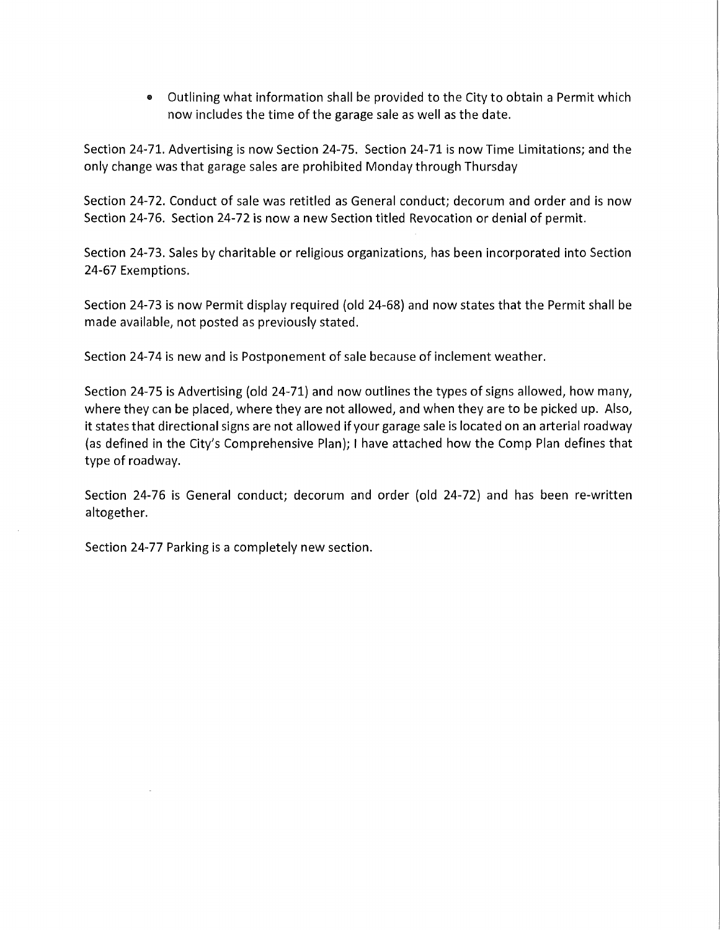• Outlining what information shall be provided to the City to obtain a Permit which now includes the time of the garage sale as well as the date.

Section 24-71. Advertising is now Section 24-75. Section 24-71 is now Time Limitations; and the only change was that garage sales are prohibited Monday through Thursday

Section 24-72. Conduct of sale was retitled as General conduct; decorum and order and is now Section 24-76. Section 24-72 is now a new Section titled Revocation or denial of permit.

Section 24-73. Sales by charitable or religious organizations, has been incorporated into Section 24-67 Exemptions.

Section 24-73 is now Permit display required (old 24-68) and now states that the Permit shall be made available, not posted as previously stated.

Section 24-74 is new and is Postponement of sale because of inclement weather.

Section 24-75 is Advertising (old 24-71) and now outlines the types of signs allowed, how many, where they can be placed, where they are not allowed, and when they are to be picked up. Also, it states that directional signs are not allowed if your garage sale is located on an arterial roadway (as defined in the City's Comprehensive Plan); I have attached how the Comp Plan defines that type of roadway.

Section 24-76 is General conduct; decorum and order (old 24-72) and has been re-written altogether.

Section 24-77 Parking is a completely new section.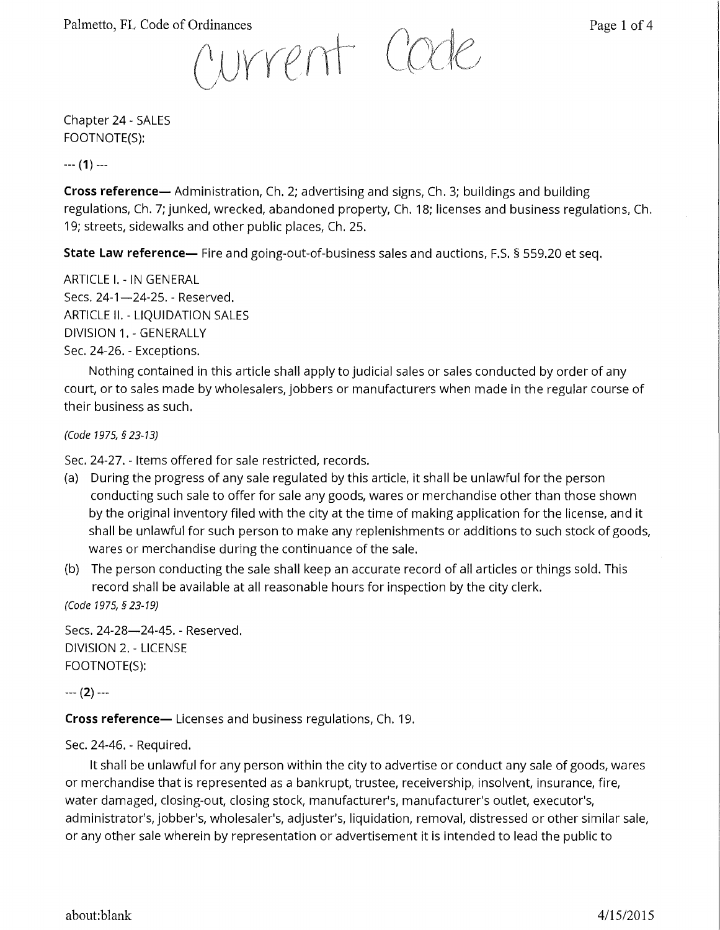Palmetto, FL Code of Ordinances<br>  $\bigcap_{i=1}^{n} \bigcup_{i=1}^{n} \bigcap_{i=1}^{n} \bigcap_{i=1}^{n} \bigcap_{i=1}^{n} \bigcap_{i=1}^{n} \bigcap_{i=1}^{n} \bigcap_{i=1}^{n} \bigcap_{i=1}^{n} \bigcap_{i=1}^{n} \bigcap_{i=1}^{n} \bigcap_{i=1}^{n} \bigcap_{i=1}^{n} \bigcap_{i=1}^{n} \bigcap_{i=1}^{n} \bigcap_{i=1}^{n} \bigcap_{i=1}^{n}$ 

Chapter 24 - SALES FOOTNOTE(S):

--- **(1)** ---

**Cross reference-** Administration, Ch. 2; advertising and signs, Ch. 3; buildings and building regulations, Ch. 7; junked, wrecked, abandoned property, Ch. 18; licenses and business regulations, Ch. 19; streets, sidewalks and other public places, Ch. 25.

**State Law reference—** Fire and going-out-of-business sales and auctions, F.S. § 559.20 et seq.

ARTICLE I. - IN GENERAL Secs. 24-1-24-25. - Reserved. ARTICLE II. - LIQUIDATION SALES DIVISION 1. - GENERALLY Sec. 24-26. - Exceptions.

Nothing contained in this article shall apply to judicial sales or sales conducted by order of any court, or to sales made by wholesalers, jobbers or manufacturers when made in the regular course of their business as such.

(Code 1975, § 23-13)

Sec. 24-27. - Items offered for sale restricted, records.

- (a) During the progress of any sale regulated by this article, it shall be unlawful for the person conducting such sale to offer for sale any goods, wares or merchandise other than those shown by the original inventory filed with the city at the time of making application for the license, and it shall be unlawful for such person to make any replenishments or additions to such stock of goods, wares or merchandise during the continuance of the sale.
- (b) The person conducting the sale shall keep an accurate record of all articles or things sold. This record shall be available at all reasonable hours for inspection by the city clerk.

(Code 1975, *§* 23-19)

Secs. 24-28-24-45. - Reserved. DIVISION 2. - LICENSE FOOTNOTE(S):

--- **(2)** ---

**Cross reference-** Licenses and business regulations, Ch. 19.

## Sec. 24-46. - Required.

It shall be unlawful for any person within the city to advertise or conduct any sale of goods, wares or merchandise that is represented as a bankrupt, trustee, receivership, insolvent, insurance, fire, water damaged, closing-out, closing stock, manufacturer's, manufacturer's outlet, executor's, administrator's, jobber's, wholesaler's, adjuster's, liquidation, removal, distressed or other similar sale, or any other sale wherein by representation or advertisement it is intended to lead the public to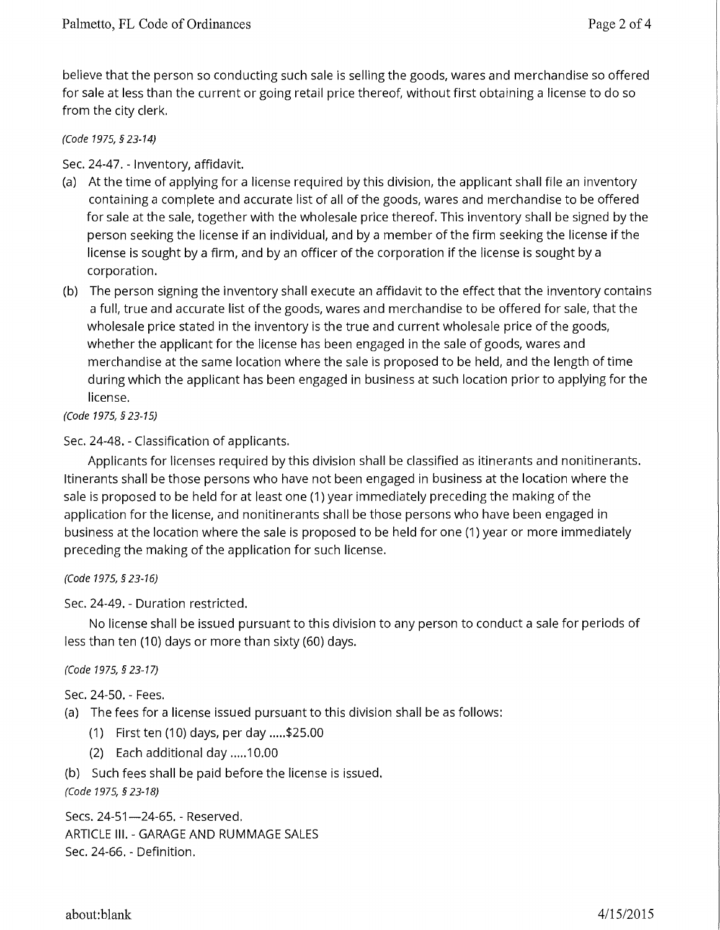believe that the person so conducting such sale is selling the goods, wares and merchandise so offered for sale at less than the current or going retail price thereof, without first obtaining a license to do so from the city clerk.

## (Code 1975, *§* 23-14)

Sec. 24-47. - Inventory, affidavit.

- (a) At the time of applying for a license required by this division, the applicant shall file an inventory containing a complete and accurate list of all of the goods, wares and merchandise to be offered for sale at the sale, together with the wholesale price thereof. This inventory shall be signed by the person seeking the license if an individual, and by a member of the firm seeking the license if the license is sought by a firm, and by an officer of the corporation if the license is sought by a corporation.
- (b) The person signing the inventory shall execute an affidavit to the effect that the inventory contains a full, true and accurate list of the goods, wares and merchandise to be offered for sale, that the wholesale price stated in the inventory is the true and current wholesale price of the goods, whether the applicant for the license has been engaged in the sale of goods, wares and merchandise at the same location where the sale is proposed to be held, and the length of time during which the applicant has been engaged in business at such location prior to applying for the license.

(Code 1975, *§* 23-15)

Sec. 24-48. - Classification of applicants.

Applicants for licenses required by this division shall be classified as itinerants and nonitinerants. Itinerants shall be those persons who have not been engaged in business at the location where the sale is proposed to be held for at least one (1) year immediately preceding the making of the application for the license, and nonitinerants shall be those persons who have been engaged in business at the location where the sale is proposed to be held for one (1) year or more immediately preceding the making of the application for such license.

(Code 1975, § 23-16)

Sec. 24-49. - Duration restricted.

No license shall be issued pursuant to this division to any person to conduct a sale for periods of less than ten (10) days or more than sixty (60) days.

## (Code 1975, *§* 23-17)

Sec. 24-50. - Fees.

(a) The fees for a license issued pursuant to this division shall be as follows:

- (1) First ten (10) days, per day ..... \$25.00
- (2) Each additional day ..... 10.00

(b) Such fees shall be paid before the license is issued.

(Code 1975, *§* 23-18)

Secs. 24-51-24-65. - Reserved. ARTICLE Ill. - GARAGE AND RUMMAGE SALES Sec. 24-66. - Definition.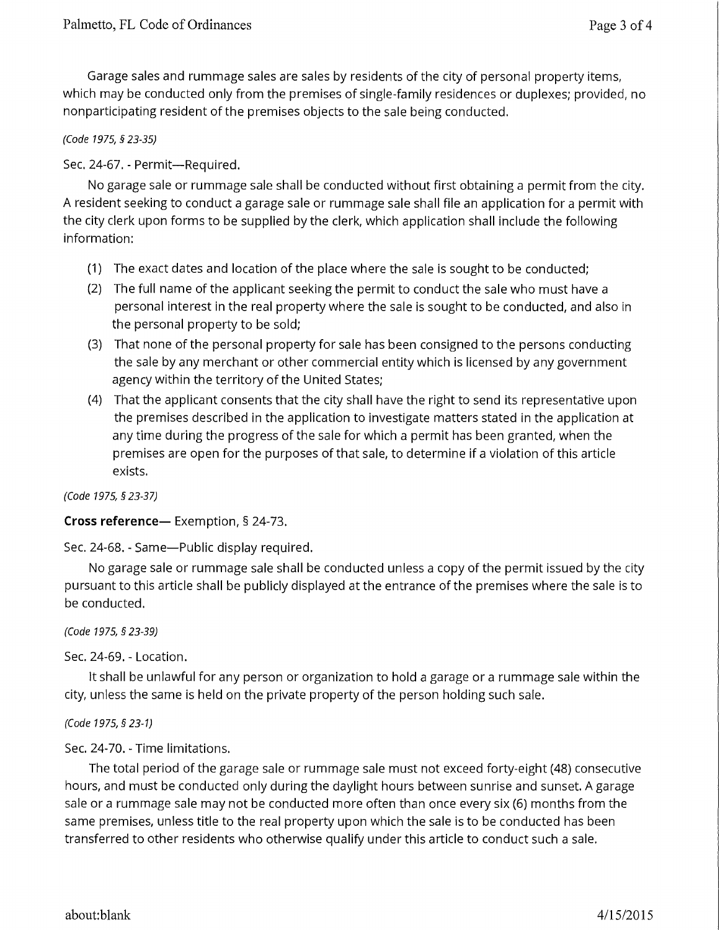Garage sales and rummage sales are sales by residents of the city of personal property items, which may be conducted only from the premises of single-family residences or duplexes; provided, no nonparticipating resident of the premises objects to the sale being conducted.

## (Code 1975, § 23-35)

## Sec. 24-67. - Permit-Required.

No garage sale or rummage sale shall be conducted without first obtaining a permit from the city. A resident seeking to conduct a garage sale or rummage sale shall file an application for a permit with the city clerk upon forms to be supplied by the clerk, which application shall include the following information:

- (1) The exact dates and location of the place where the sale is sought to be conducted;
- (2) The full name of the applicant seeking the permit to conduct the sale who must have a personal interest in the real property where the sale is sought to be conducted, and also in the personal property to be sold;
- (3) That none of the personal property for sale has been consigned to the persons conducting the sale by any merchant or other commercial entity which is licensed by any government agency within the territory of the United States;
- (4) That the applicant consents that the city shall have the right to send its representative upon the premises described in the application to investigate matters stated in the application at any time during the progress of the sale for which a permit has been granted, when the premises are open for the purposes of that sale, to determine if a violation of this article exists.

(Code 1975, *§* 23-37)

**Cross reference-** Exemption, § 24-73.

Sec. 24-68. - Same-Public display required.

No garage sale or rummage sale shall be conducted unless a copy of the permit issued by the city pursuant to this article shall be publicly displayed at the entrance of the premises where the sale is to be conducted.

(Code 1975, *§* 23-39)

Sec. 24-69. - Location.

It shall be unlawful for any person or organization to hold a garage or a rummage sale within the city, unless the same is held on the private property of the person holding such sale.

(Code 1975, *§* 23-1)

Sec. 24-70. - Time limitations.

The total period of the garage sale or rummage sale must not exceed forty-eight (48) consecutive hours, and must be conducted only during the daylight hours between sunrise and sunset. A garage sale or a rummage sale may not be conducted more often than once every six (6) months from the same premises, unless title to the real property upon which the sale is to be conducted has been transferred to other residents who otherwise qualify under this article to conduct such a sale.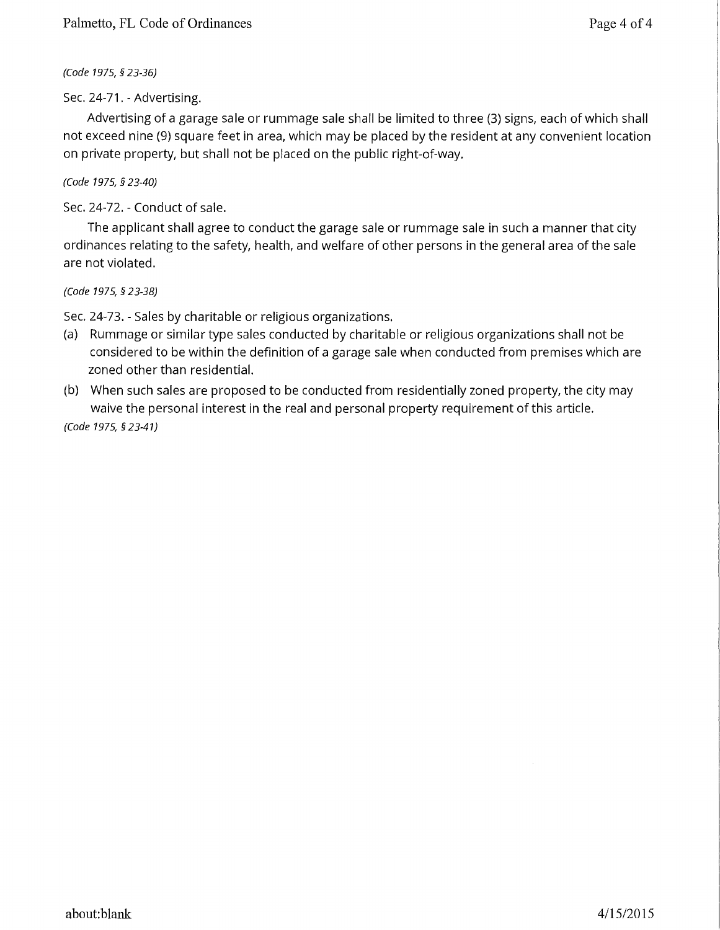(Code 1975, *§* 23-36)

Sec. 24-71. - Advertising.

Advertising of a garage sale or rummage sale shall be limited to three (3) signs, each of which shall not exceed nine (9) square feet in area, which may be placed by the resident at any convenient location on private property, but shall not be placed on the public right-of-way.

(Code 1975, *§* 23-40)

Sec. 24-72. - Conduct of sale.

The applicant shall agree to conduct the garage sale or rummage sale in such a manner that city ordinances relating to the safety, health, and welfare of other persons in the general area of the sale are not violated.

(Code 1975, § 23-38)

Sec. 24-73. - Sales by charitable or religious organizations.

- (a) Rummage or similar type sales conducted by charitable or religious organizations shall not be considered to be within the definition of a garage sale when conducted from premises which are zoned other than residential.
- (b) When such sales are proposed to be conducted from residentially zoned property, the city may waive the personal interest in the real and personal property requirement of this article.

(Code 1975, *§* 23-41)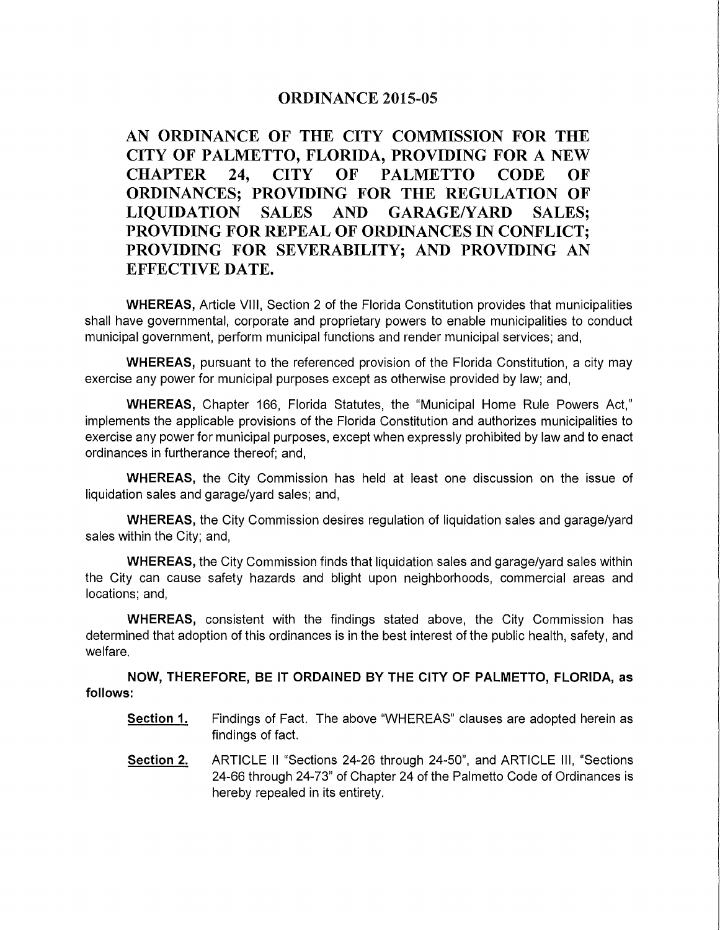## ORDINANCE 2015-05

AN ORDINANCE OF THE CITY COMMISSION FOR THE CITY OF PALMETTO, FLORIDA, PROVIDING FOR A NEW CHAPTER 24, CITY OF PALMETTO CODE OF ORDINANCES; PROVIDING FOR THE REGULATION OF LIQUIDATION SALES AND GARAGE/YARD SALES; PROVIDING FOR REPEAL OF ORDINANCES IN CONFLICT; PROVIDING FOR SEVERABILITY; AND PROVIDING AN EFFECTIVE DATE.

WHEREAS, Article VIII, Section 2 of the Florida Constitution provides that municipalities shall have governmental, corporate and proprietary powers to enable municipalities to conduct municipal government, perform municipal functions and render municipal services; and,

WHEREAS, pursuant to the referenced provision of the Florida Constitution, a city may exercise any power for municipal purposes except as otherwise provided by law; and,

WHEREAS, Chapter 166, Florida Statutes, the "Municipal Home Rule Powers Act," implements the applicable provisions of the Florida Constitution and authorizes municipalities to exercise any power for municipal purposes, except when expressly prohibited by law and to enact ordinances in furtherance thereof; and,

WHEREAS, the City Commission has held at least one discussion on the issue of liquidation sales and garage/yard sales; and,

WHEREAS, the City Commission desires regulation of liquidation sales and garage/yard sales within the City; and,

WHEREAS, the City Commission finds that liquidation sales and garage/yard sales within the City can cause safety hazards and blight upon neighborhoods, commercial areas and locations; and,

WHEREAS, consistent with the findings stated above, the City Commission has determined that adoption of this ordinances is in the best interest of the public health, safety, and welfare.

NOW, THEREFORE, BE IT ORDAINED BY THE CITY OF PALMETTO, FLORIDA, as follows:

- Section 1. Findings of Fact. The above "WHEREAS" clauses are adopted herein as findings of fact.
- Section 2. ARTICLE II "Sections 24-26 through 24-50", and ARTICLE Ill, "Sections 24-66 through 24-73" of Chapter 24 of the Palmetto Code of Ordinances is hereby repealed in its entirety.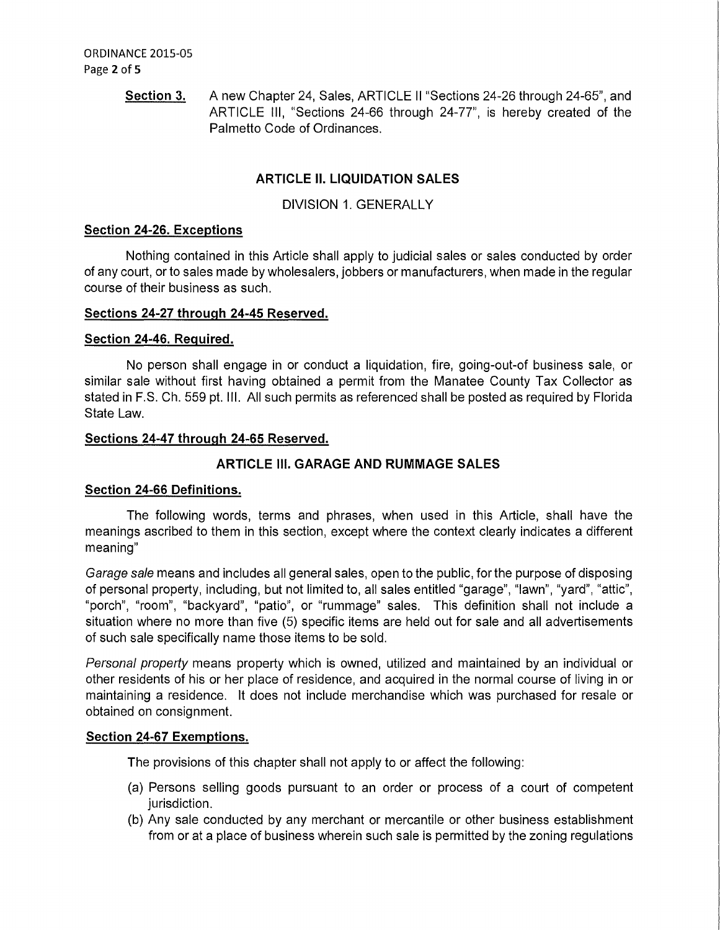**Section 3.** A new Chapter 24, Sales, ARTICLE II "Sections 24-26 through 24-65", and ARTICLE Ill, "Sections 24-66 through 24-77", is hereby created of the Palmetto Code of Ordinances.

## **ARTICLE II. LIQUIDATION SALES**

DIVISION 1. GENERALLY

### **Section 24-26. Exceptions**

Nothing contained in this Article shall apply to judicial sales or sales conducted by order of any court, or to sales made by wholesalers, jobbers or manufacturers, when made in the regular course of their business as such.

#### **Sections 24-27 through 24-45 Reserved.**

### **Section 24-46. Required.**

No person shall engage in or conduct a liquidation, fire, going-out-of business sale, or similar sale without first having obtained a permit from the Manatee County Tax Collector as stated in F.S. Ch. 559 pt. Ill. All such permits as referenced shall be posted as required by Florida State Law.

### **Sections 24-47 through 24-65 Reserved.**

## **ARTICLE Ill. GARAGE AND RUMMAGE SALES**

#### **Section 24-66 Definitions.**

The following words, terms and phrases, when used in this Article, shall have the meanings ascribed to them in this section, except where the context clearly indicates a different meaning"

Garage sale means and includes all general sales, open to the public, for the purpose of disposing of personal property, including, but not limited to, all sales entitled "garage", "lawn", "yard", "attic", "porch", "room", "backyard", "patio", or "rummage" sales. This definition shall not include a situation where no more than five (5) specific items are held out for sale and all advertisements of such sale specifically name those items to be sold.

Personal property means property which is owned, utilized and maintained by an individual or other residents of his or her place of residence, and acquired in the normal course of living in or maintaining a residence. It does not include merchandise which was purchased for resale or obtained on consignment.

#### **Section 24-67 Exemptions.**

The provisions of this chapter shall not apply to or affect the following:

- (a) Persons selling goods pursuant to an order or process of a court of competent jurisdiction.
- (b) Any sale conducted by any merchant or mercantile or other business establishment from or at a place of business wherein such sale is permitted by the zoning regulations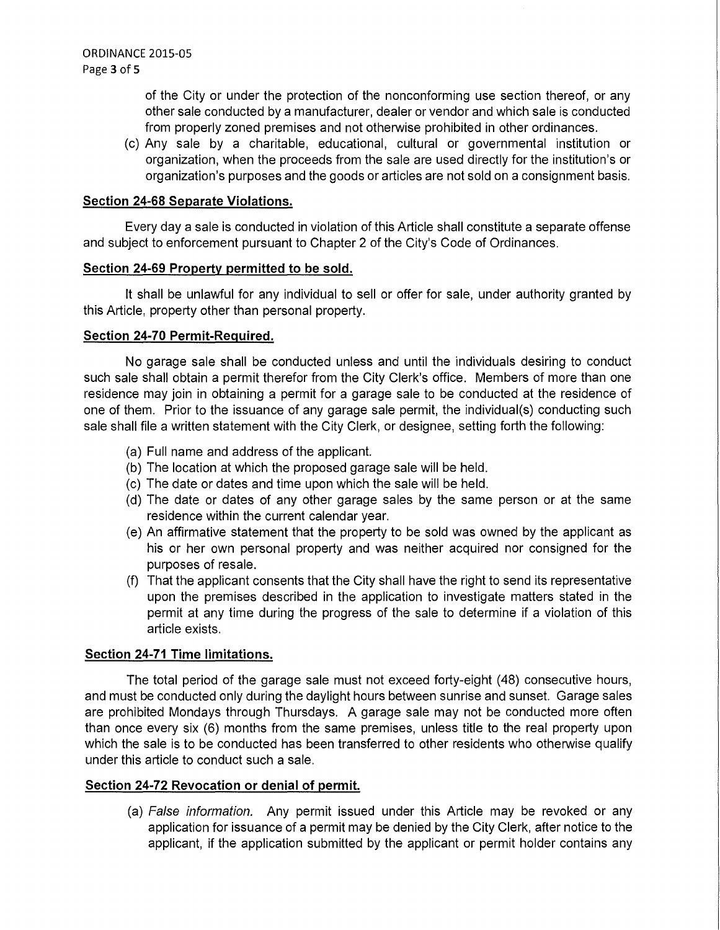of the City or under the protection of the nonconforming use section thereof, or any other sale conducted by a manufacturer, dealer or vendor and which sale is conducted from properly zoned premises and not otherwise prohibited in other ordinances.

(c) Any sale by a charitable, educational, cultural or governmental institution or organization, when the proceeds from the sale are used directly for the institution's or organization's purposes and the goods or articles are not sold on a consignment basis.

### **Section 24-68 Separate Violations.**

Every day a sale is conducted in violation of this Article shall constitute a separate offense and subject to enforcement pursuant to Chapter 2 of the City's Code of Ordinances.

### **Section 24-69 Property permitted to be sold.**

It shall be unlawful for any individual to sell or offer for sale, under authority granted by this Article, property other than personal property.

### **Section 24-70 Permit-Required.**

No garage sale shall be conducted unless and until the individuals desiring to conduct such sale shall obtain a permit therefor from the City Clerk's office. Members of more than one residence may join in obtaining a permit for a garage sale to be conducted at the residence of one of them. Prior to the issuance of any garage sale permit, the individual(s) conducting such sale shall file a written statement with the City Clerk, or designee, setting forth the following:

- (a) Full name and address of the applicant.
- (b) The location at which the proposed garage sale will be held.
- (c) The date or dates and time upon which the sale will be held.
- (d) The date or dates of any other garage sales by the same person or at the same residence within the current calendar year.
- (e) An affirmative statement that the property to be sold was owned by the applicant as his or her own personal property and was neither acquired nor consigned for the purposes of resale.
- (f) That the applicant consents that the City shall have the right to send its representative upon the premises described in the application to investigate matters stated in the permit at any time during the progress of the sale to determine if a violation of this article exists.

## **Section 24-71 Time limitations.**

The total period of the garage sale must not exceed forty-eight (48) consecutive hours, and must be conducted only during the daylight hours between sunrise and sunset. Garage sales are prohibited Mondays through Thursdays. A garage sale may not be conducted more often than once every six (6) months from the same premises, unless title to the real property upon which the sale is to be conducted has been transferred to other residents who otherwise qualify under this article to conduct such a sale.

## **Section 24-72 Revocation or denial of permit.**

(a) False information. Any permit issued under this Article may be revoked or any application for issuance of a permit may be denied by the City Clerk, after notice to the applicant, if the application submitted by the applicant or permit holder contains any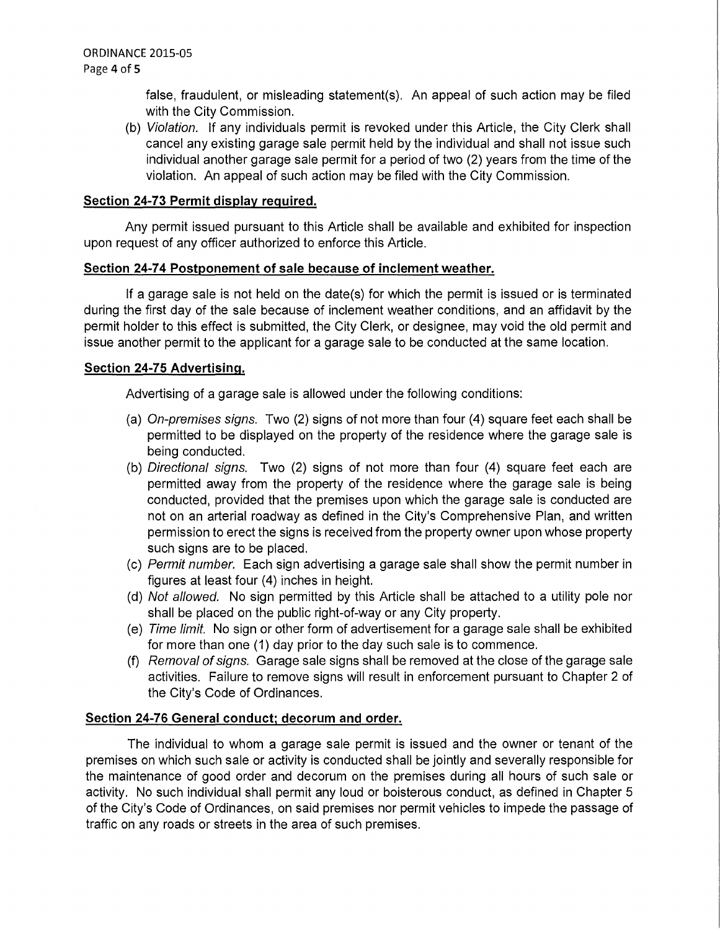false, fraudulent, or misleading statement(s). An appeal of such action may be filed with the City Commission.

(b) Violation. If any individuals permit is revoked under this Article, the City Clerk shall cancel any existing garage sale permit held by the individual and shall not issue such individual another garage sale permit for a period of two (2) years from the time of the violation. An appeal of such action may be filed with the City Commission.

### **Section 24-73 Permit display required.**

Any permit issued pursuant to this Article shall be available and exhibited for inspection upon request of any officer authorized to enforce this Article.

### **Section 24-74 Postponement of sale because of inclement weather.**

If a garage sale is not held on the date(s) for which the permit is issued or is terminated during the first day of the sale because of inclement weather conditions, and an affidavit by the permit holder to this effect is submitted, the City Clerk, or designee, may void the old permit and issue another permit to the applicant for a garage sale to be conducted at the same location.

### **Section 24-75 Advertising.**

Advertising of a garage sale is allowed under the following conditions:

- (a) On-premises signs. Two (2) signs of not more than four (4) square feet each shall be permitted to be displayed on the property of the residence where the garage sale is being conducted.
- (b) Directional signs. Two (2) signs of not more than four (4) square feet each are permitted away from the property of the residence where the garage sale is being conducted, provided that the premises upon which the garage sale is conducted are not on an arterial roadway as defined in the City's Comprehensive Plan, and written permission to erect the signs is received from the property owner upon whose property such signs are to be placed.
- (c) Permit number. Each sign advertising a garage sale shall show the permit number in figures at least four (4) inches in height.
- (d) Not allowed. No sign permitted by this Article shall be attached to a utility pole nor shall be placed on the public right-of-way or any City property.
- (e) Time limit. No sign or other form of advertisement for a garage sale shall be exhibited for more than one (1) day prior to the day such sale is to commence.
- (f) Removal of signs. Garage sale signs shall be removed at the close of the garage sale activities. Failure to remove signs will result in enforcement pursuant to Chapter 2 of the City's Code of Ordinances.

#### **Section 24-76 General conduct; decorum and order.**

The individual to whom a garage sale permit is issued and the owner or tenant of the premises on which such sale or activity is conducted shall be jointly and severally responsible for the maintenance of good order and decorum on the premises during all hours of such sale or activity. No such individual shall permit any loud or boisterous conduct, as defined in Chapter 5 of the City's Code of Ordinances, on said premises nor permit vehicles to impede the passage of traffic on any roads or streets in the area of such premises.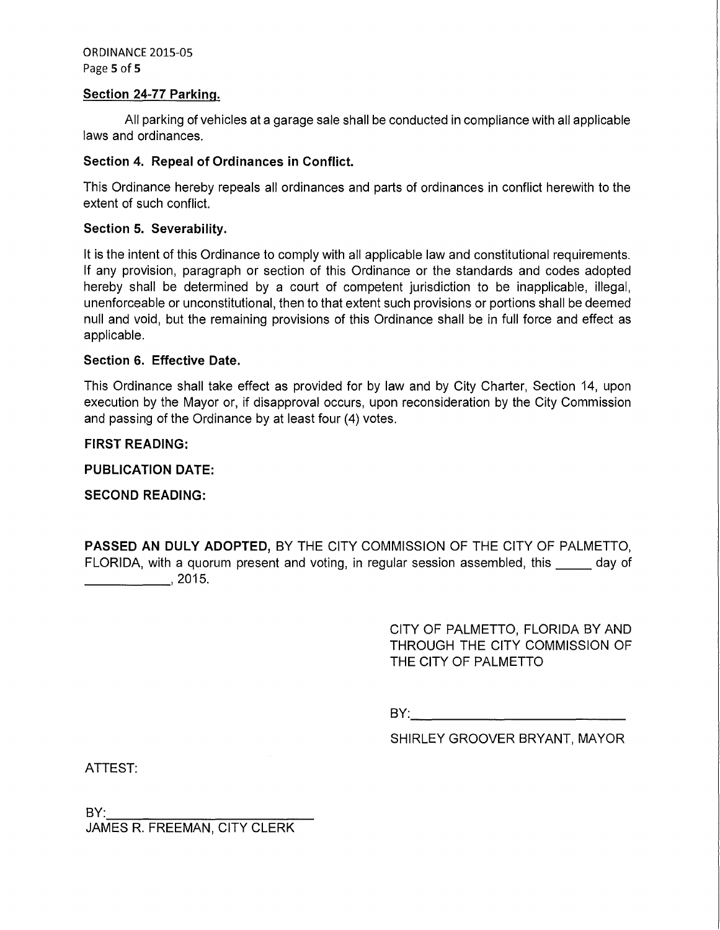ORDINANCE 2015-05 Page 5 of 5

#### Section 24-77 Parking.

All parking of vehicles at a garage sale shall be conducted in compliance with all applicable laws and ordinances.

### Section 4. Repeal of Ordinances in Conflict.

This Ordinance hereby repeals all ordinances and parts of ordinances in conflict herewith to the extent of such conflict.

### Section 5. Severability.

It is the intent of this Ordinance to comply with all applicable law and constitutional requirements. If any provision, paragraph or section of this Ordinance or the standards and codes adopted hereby shall be determined by a court of competent jurisdiction to be inapplicable, illegal, unenforceable or unconstitutional, then to that extent such provisions or portions shall be deemed null and void, but the remaining provisions of this Ordinance shall be in full force and effect as applicable.

#### Section 6. Effective Date.

This Ordinance shall take effect as provided for by law and by City Charter, Section 14, upon execution by the Mayor or, if disapproval occurs, upon reconsideration by the City Commission and passing of the Ordinance by at least four (4) votes.

### FIRST READING:

PUBLICATION DATE:

SECOND READING:

PASSED AN DULY ADOPTED, BY THE CITY COMMISSION OF THE CITY OF PALMETTO, PASSED AN DULY ADOPTED, BY THE CITY COMMISSION OF THE CITY OF PALMETTO,<br>FLORIDA, with a quorum present and voting, in regular session assembled, this \_\_\_\_\_ day of FLORIDA, with a quor<br>————————, 2015.

> CITY OF PALMETTO, FLORIDA BY AND THROUGH THE CITY COMMISSION OF THE CITY OF PALMETTO

 $BY:$ 

SHIRLEY GROOVER BRYANT, MAYOR

ATTEST:

BY:<br>JAMES R. FREEMAN, CITY CLERK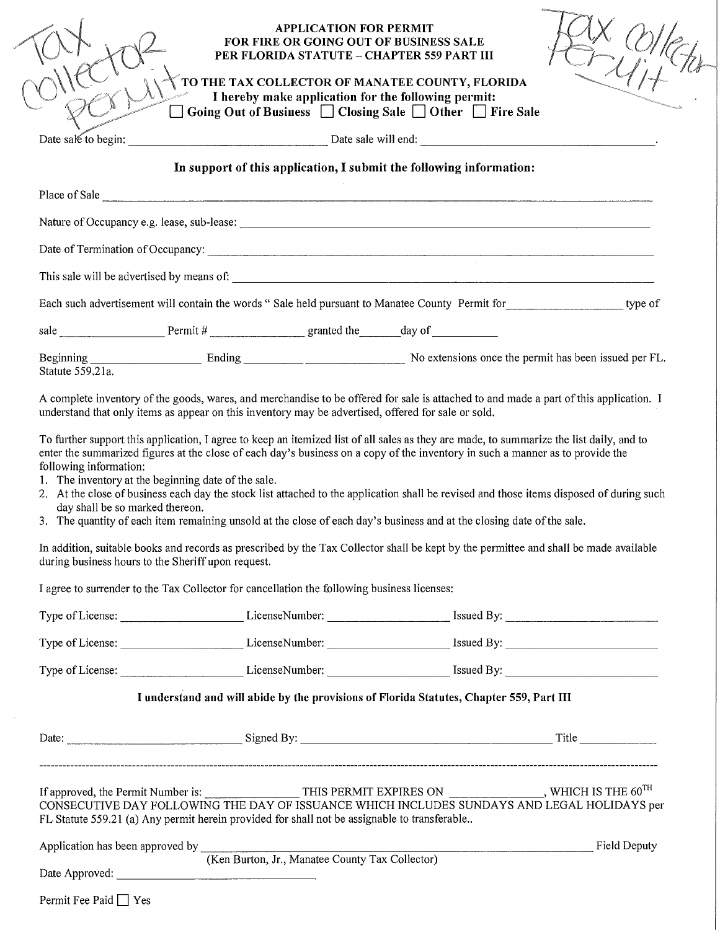| Date sale to begin:                                                                                                                 | In support of this application, I submit the following information:                                                    | Date sale will end:                                                                                                                                                                                                                                                               |
|-------------------------------------------------------------------------------------------------------------------------------------|------------------------------------------------------------------------------------------------------------------------|-----------------------------------------------------------------------------------------------------------------------------------------------------------------------------------------------------------------------------------------------------------------------------------|
|                                                                                                                                     |                                                                                                                        |                                                                                                                                                                                                                                                                                   |
|                                                                                                                                     |                                                                                                                        |                                                                                                                                                                                                                                                                                   |
|                                                                                                                                     | Place of Sale <u>and the second contract of Sale</u>                                                                   |                                                                                                                                                                                                                                                                                   |
|                                                                                                                                     |                                                                                                                        |                                                                                                                                                                                                                                                                                   |
|                                                                                                                                     |                                                                                                                        |                                                                                                                                                                                                                                                                                   |
|                                                                                                                                     |                                                                                                                        |                                                                                                                                                                                                                                                                                   |
|                                                                                                                                     |                                                                                                                        | Each such advertisement will contain the words " Sale held pursuant to Manatee County Permit for ________________________ type of                                                                                                                                                 |
|                                                                                                                                     |                                                                                                                        |                                                                                                                                                                                                                                                                                   |
| Statute 559.21a.                                                                                                                    |                                                                                                                        |                                                                                                                                                                                                                                                                                   |
|                                                                                                                                     |                                                                                                                        | To further support this application, I agree to keep an itemized list of all sales as they are made, to summarize the list daily, and to<br>enter the summarized figures at the close of each day's business on a copy of the inventory in such a manner as to provide the        |
| day shall be so marked thereon.                                                                                                     | 3. The quantity of each item remaining unsold at the close of each day's business and at the closing date of the sale. | 2. At the close of business each day the stock list attached to the application shall be revised and those items disposed of during such<br>In addition, suitable books and records as prescribed by the Tax Collector shall be kept by the permittee and shall be made available |
|                                                                                                                                     | I agree to surrender to the Tax Collector for cancellation the following business licenses:                            |                                                                                                                                                                                                                                                                                   |
|                                                                                                                                     |                                                                                                                        | Type of License: License Number: License Number: Sales By: License Number: License Number: License Number: License Number: License Number: License Number: License Number: License Number: License Number: License Number: Lic                                                    |
|                                                                                                                                     |                                                                                                                        | Type of License: License Mumber: License Number: Sand By: License Number: 2014                                                                                                                                                                                                    |
|                                                                                                                                     | I understand and will abide by the provisions of Florida Statutes, Chapter 559, Part III                               | Type of License: License Mumber: License Number: Sales Constanting Street By:                                                                                                                                                                                                     |
| following information:<br>1. The inventory at the beginning date of the sale.<br>during business hours to the Sheriff upon request. |                                                                                                                        |                                                                                                                                                                                                                                                                                   |
|                                                                                                                                     |                                                                                                                        |                                                                                                                                                                                                                                                                                   |
|                                                                                                                                     | FL Statute 559.21 (a) Any permit herein provided for shall not be assignable to transferable                           | If approved, the Permit Number is: THIS PERMIT EXPIRES ON ______________, WHICH IS THE 60 <sup>TH</sup><br>CONSECUTIVE DAY FOLLOWING THE DAY OF ISSUANCE WHICH INCLUDES SUNDAYS AND LEGAL HOLIDAYS per                                                                            |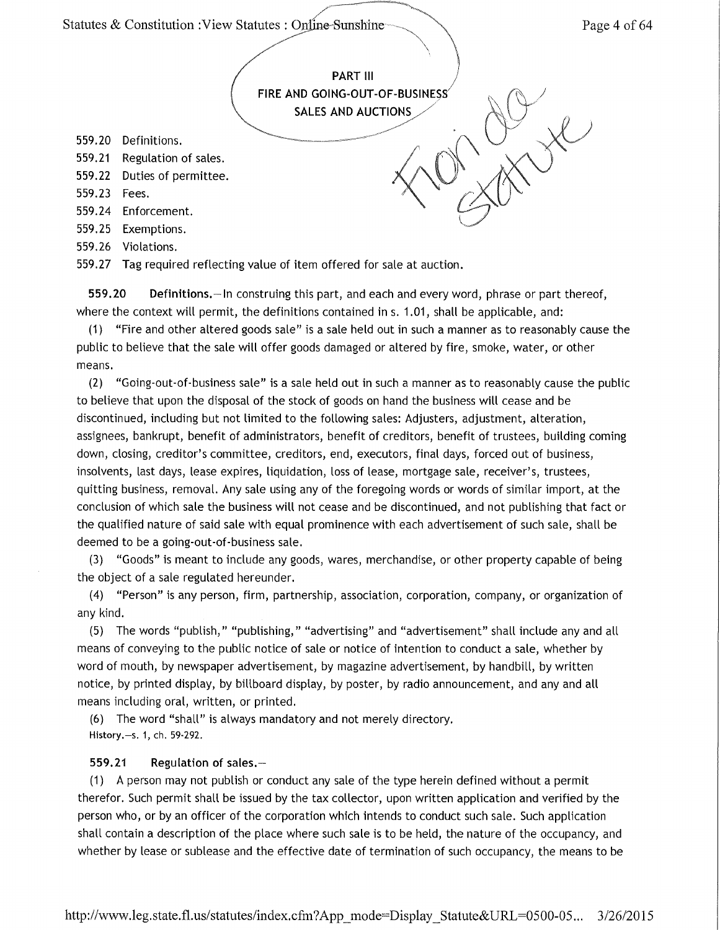

559.27 Tag required reflecting value of item offered for sale at auction.

559.20 Definitions.- In construing this part, and each and every word, phrase or part thereof, where the context will permit, the definitions contained ins. 1.01, shall be applicable, and:

(1) "Fire and other altered goods sale" is a sale held out in such a manner as to reasonably cause the public to believe that the sale will offer goods damaged or altered by fire, smoke, water, or other means.

(2) "Going-out-of-business sale" is a sale held out in such a manner as to reasonably cause the public to believe that upon the disposal of the stock of goods on hand the business will cease and be discontinued, including but not limited to the following sales: Adjusters, adjustment, alteration, assignees, bankrupt, benefit of administrators, benefit of creditors, benefit of trustees, building coming down, closing, creditor's committee, creditors, end, executors, final days, forced out of business, insolvents, last days, lease expires, liquidation, loss of lease, mortgage sale, receiver's, trustees, quitting business, removal. Any sale using any of the foregoing words or words of similar import, at the conclusion of which sale the business will not cease and be discontinued, and not publishing that fact or the qualified nature of said sale with equal prominence with each advertisement of such sale, shall be deemed to be a going-out-of-business sale.

(3) "Goods" is meant to include any goods, wares, merchandise, or other property capable of being the object of a sale regulated hereunder.

(4) "Person" is any person, firm, partnership, association, corporation, company, or organization of any kind.

(5) The words "publish," "publishing," "advertising" and "advertisement" shall include any and all means of conveying to the public notice of sale or notice of intention to conduct a sale, whether by word of mouth, by newspaper advertisement, by magazine advertisement, by handbill, by written notice, by printed display, by billboard display, by poster, by radio announcement, and any and all means including oral, written, or printed.

(6) The word "shall" is always mandatory and not merely directory. History.-s. 1, ch. 59-292.

#### 559.21 Regulation of sales.-

(1) A person may not publish or conduct any sale of the type herein defined without a permit therefor. Such permit shall be issued by the tax collector, upon written application and verified by the person who, or by an officer of the corporation which intends to conduct such sale. Such application shall contain a description of the place where such sale is to be held, the nature of the occupancy, and whether by lease or sublease and the effective date of termination of such occupancy, the means to be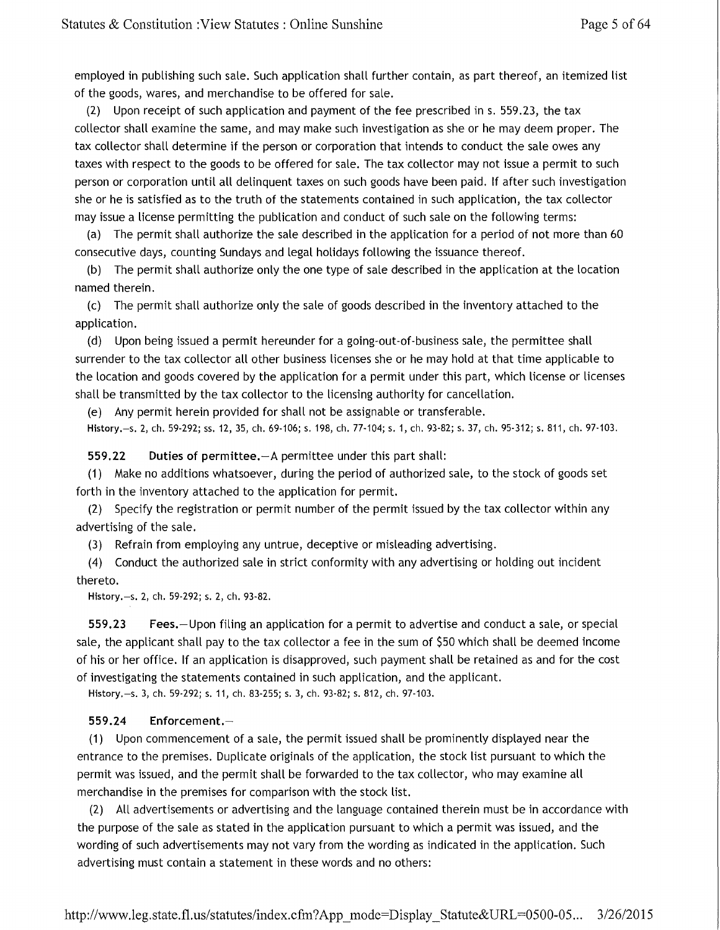employed in publishing such sale. Such application shall further contain, as part thereof, an itemized list of the goods, wares, and merchandise to be offered for sale.

(2) Upon receipt of such application and payment of the fee prescribed in s. 559 .23, the tax collector shall examine the same, and may make such investigation as she or he may deem proper. The tax collector shall determine if the person or corporation that intends to conduct the sale owes any taxes with respect to the goods to be offered for sale. The tax collector may not issue a permit to such person or corporation until all delinquent taxes on such goods have been paid. If after such investigation she or he is satisfied as to the truth of the statements contained in such application, the tax collector may issue a license permitting the publication and conduct of such sale on the following terms:

(a) The permit shall authorize the sale described in the application for a period of not more than 60 consecutive days, counting Sundays and legal holidays following the issuance thereof.

(b) The permit shall authorize only the one type of sale described in the application at the location named therein.

(c) The permit shall authorize only the sale of goods described in the inventory attached to the application.

(d) Upon being issued a permit hereunder for a going-out-of-business sale, the permittee shall surrender to the tax collector all other business licenses she or he may hold at that time applicable to the location and goods covered by the application for a permit under this part, which license or licenses shall be transmitted by the tax collector to the licensing authority for cancellation.

(e) Any permit herein provided for shall not be assignable or transferable.

History.-s. 2, ch. 59-292; ss. 12, 35, ch. 69-106; s. 198, ch. 77-104; s. 1, ch. 93-82; s. 37, ch. 95-312; s. 811, ch. 97-103.

559.22 Duties of permittee.-A permittee under this part shall:

(1) Make no additions whatsoever, during the period of authorized sale, to the stock of goods set forth in the inventory attached to the application for permit.

(2) Specify the registration or permit number of the permit issued by the tax collector within any advertising of the sale.

(3) Refrain from employing any untrue, deceptive or misleading advertising.

(4) Conduct the authorized sale in strict conformity with any advertising or holding out incident thereto.

History.-s. 2, ch. 59-292; s. 2, ch. 93-82.

559.23 Fees.-Upon filing an application for a permit to advertise and conduct a sale, or special sale, the applicant shall pay to the tax collector a fee in the sum of \$50 which shall be deemed income of his or her office. If an application is disapproved, such payment shall be retained as and for the cost of investigating the statements contained in such application, and the applicant.

History.-s. 3, ch. 59-292; s. 11, ch. 83-255; s. 3, ch. 93-82; s. 812, ch. 97-103.

#### 559.24 Enforcement.-

(1) Upon commencement of a sale, the permit issued shall be prominently displayed near the entrance to the premises. Duplicate originals of the application, the stock list pursuant to which the permit was issued, and the permit shall be forwarded to the tax collector, who may examine all merchandise in the premises for comparison with the stock list.

(2) All advertisements or advertising and the language contained therein must be in accordance with the purpose of the sale as stated in the application pursuant to which a permit was issued, and the wording of such advertisements may not vary from the wording as indicated in the application. Such advertising must contain a statement in these words and no others: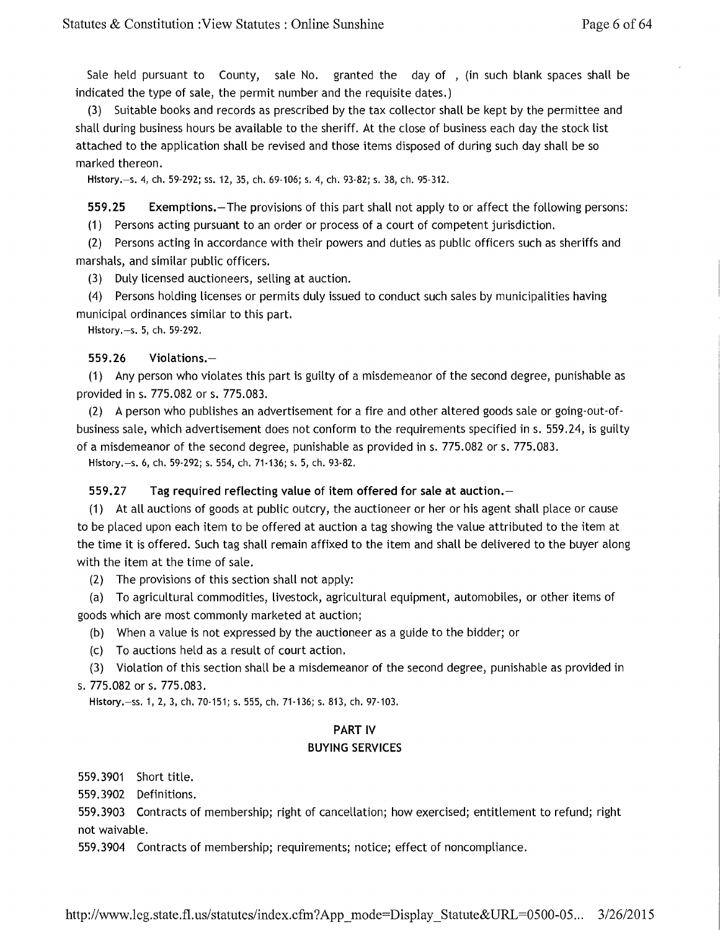Sale held pursuant to County, sale No. granted the day of , (in such blank spaces shall be indicated the type of sale, the permit number and the requisite dates.)

(3) Suitable books and records as prescribed by the tax collector shall be kept by the permittee and shall during business hours be available to the sheriff. At the close of business each day the stock list attached to the application shall be revised and those items disposed of during such day shall be so marked thereon.

History.-s. 4, ch. 59-292; ss. 12, 35, ch. 69-106; s. 4, ch. 93-82; s. 38, ch. 95-312.

559.25 Exemptions.-The provisions of this part shall not apply to or affect the following persons: (1) Persons acting pursuant to an order or process of a court of competent jurisdiction.

(2) Persons acting in accordance with their powers and duties as public officers such as sheriffs and marshals, and similar public officers.

(3) Duly licensed auctioneers, selling at auction.

(4) Persons holding licenses or permits duly issued to conduct such sales by municipalities having municipal ordinances similar to this part.

History.-s. 5, ch. 59-292.

#### 559.26 Violations.-

(1) Any person who violates this part is guilty of a misdemeanor of the second degree, punishable as provided in s. 775.082 or s. 775.083.

(2) A person who publishes an advertisement for a fire and other altered goods sale or going-out-ofbusiness sale, which advertisement does not conform to the requirements specified ins. 559.24, is guilty of a misdemeanor of the second degree, punishable as provided ins. 775.082 ors. 775.083.

History.-s. 6, ch. 59-292; s. 554, ch. 71-136; s. 5, ch. 93-82.

#### 559.27 Tag required reflecting value of item offered for sale at auction.

(1) At all auctions of goods at public outcry, the auctioneer or her or his agent shall place or cause to be placed upon each item to be offered at auction a tag showing the value attributed to the item at the time it is offered. Such tag shall remain affixed to the item and shall be delivered to the buyer along with the item at the time of sale.

(2) The provisions of this section shall not apply:

(a) To agricultural commodities, livestock, agricultural equipment, automobiles, or other items of goods which are most commonly marketed at auction;

(b) When a value is not expressed by the auctioneer as a guide to the bidder; or

(c) To auctions held as a result of court action.

(3) Violation of this section shall be a misdemeanor of the second degree, punishable as provided in s. 775.082 ors. 775.083.

History.-ss. 1, 2, 3, ch. 70-151; s. 555, ch. 71-136; s. 813, ch. 97-103.

### **PART IV** BUYING SERVICES

559.3901 Short title.

559.3902 Definitions.

559.3903 Contracts of membership; right of cancellation; how exercised; entitlement to refund; right not waivable.

559.3904 Contracts of membership; requirements; notice; effect of noncompliance.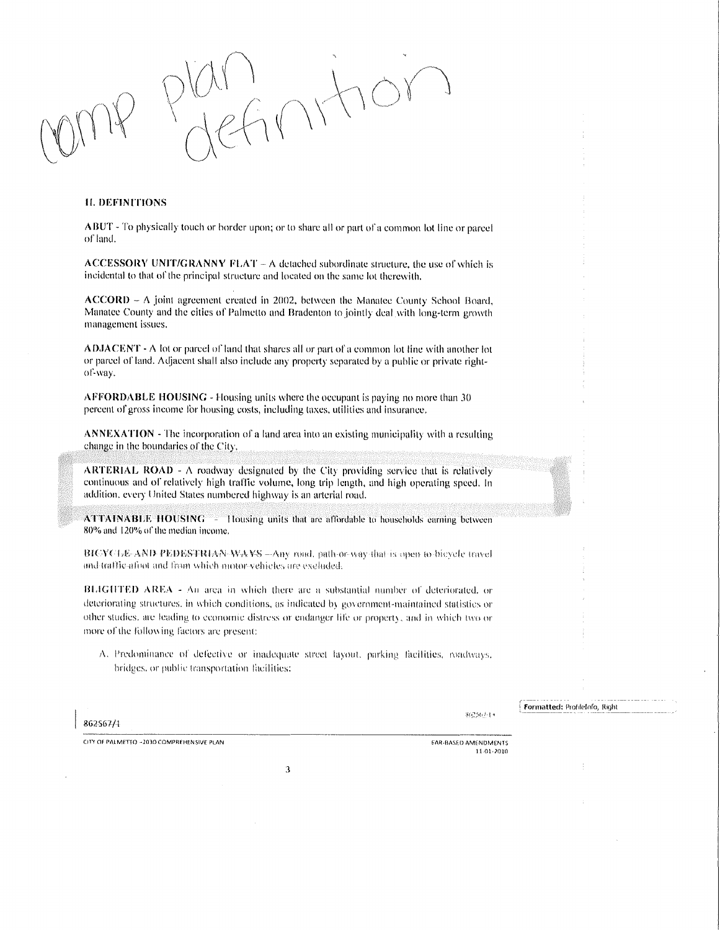#### II. DEFINITIONS

ABUT - To physically touch or border upon; or to share all or part of a common lot line or parcel of land.

ACCESSORY UNIT/GRANNY FLAT - A detached subordinate structure, the use of which is incidental to that of the principal structure and located on the same lot therewith.

 $ACCORD - A$  joint agreement created in 2002, between the Manatee County School Board. Manatee County and the cities of Palmetto and Bradenton to jointly deal with long-term growth management issues.

ADJACENT - A lot or parcel of land that shares all or part of a common lot line with another lot or parcel of land. Adjacent shall also include any property separated by a public or private rightol~way.

AFFORDABLE HOUSING - Housing units where the occupant is paying no more thun JO percent of gross income for housing costs, including taxes, utilities and insurance.

ANNEXATION - The incorporation of a land area into an existing municipality with a resulting change in the boundaries of the City.

ARTERIAL ROAD -  $\Lambda$  roadway designated by the City providing service that is relatively continuous and of relatively high traffic volume, long trip length, and high operating speed. In addition, every United States numbered highway is an arterial road.

 $ATTAINABLE HOUSING = 1$  lousing units that are affordable to households earning between 80% and 120'% or the median income.

BICYCLE-AND-PEDESTRIAN-WAVS —Any road, path-or-way-that-is-open to-bicycle travel and traffic aftoit and from which motor-vehicles are excluded.

BLIGHTED AREA - An area in which there are a substantial number of deteriorated, or deteriorating structures, in which conditions, as indicated by government-maintained statistics or other studies, are leading to economic distress or endanger life or property, and in which two or more of the following factors are present:

A. Predominance of defective or inadequate street layout, parking facilities, roadways, bridges, or public transportation facilities:

3

862567/4

362567-13

-- ----------- Formatted: ProfileInfo, Right

CITY OF PALMETTO -2030 COMPREHENSIVE PLAN EXAMPLE AND STRUCTURE TO A SECOND AMERICANSED AMENIDMENTS

1101·1011)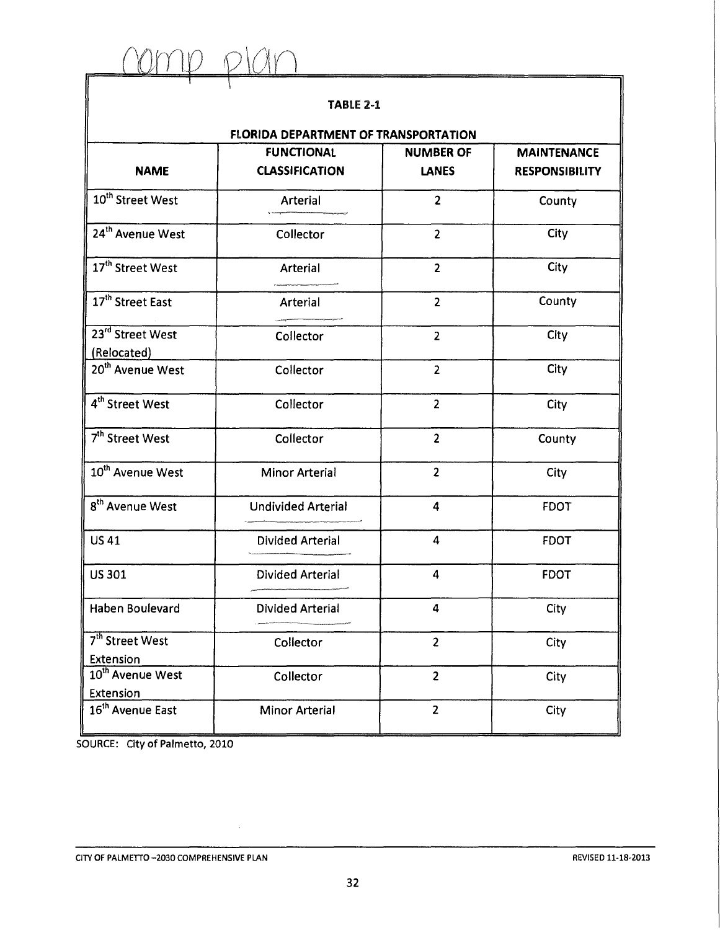rarrto *o\CY\n*   $\blacksquare$ 

## TABLE 2-1

| <b>FLORIDA DEPARTMENT OF TRANSPORTATION</b> |  |
|---------------------------------------------|--|
|                                             |  |

|                                                 | <b>FUNCTIONAL</b>         | <b>NUMBER OF</b>        | <b>MAINTENANCE</b>    |  |
|-------------------------------------------------|---------------------------|-------------------------|-----------------------|--|
| <b>NAME</b>                                     | <b>CLASSIFICATION</b>     | <b>LANES</b>            | <b>RESPONSIBILITY</b> |  |
| 10 <sup>th</sup> Street West                    | Arterial                  | $\overline{2}$          | County                |  |
| 24 <sup>th</sup> Avenue West                    | Collector                 | $\overline{2}$          | City                  |  |
| 17 <sup>th</sup> Street West                    | Arterial                  | $\overline{2}$          | City                  |  |
| 17 <sup>th</sup> Street East                    | Arterial                  | $\overline{2}$          | County                |  |
| 23 <sup>rd</sup> Street West<br>(Relocated)     | Collector                 | $\overline{2}$          | City                  |  |
| 20 <sup>th</sup> Avenue West                    | Collector                 | $\overline{2}$          | City                  |  |
| 4 <sup>th</sup> Street West                     | Collector                 | $\overline{2}$          | City                  |  |
| 7 <sup>th</sup> Street West                     | Collector                 | $\overline{2}$          | County                |  |
| 10 <sup>th</sup> Avenue West                    | <b>Minor Arterial</b>     | $\overline{2}$          | City                  |  |
| 8 <sup>th</sup> Avenue West                     | <b>Undivided Arterial</b> | $\overline{4}$          | <b>FDOT</b>           |  |
| <b>US 41</b>                                    | <b>Divided Arterial</b>   | $\overline{\mathbf{4}}$ | <b>FDOT</b>           |  |
| <b>US301</b>                                    | <b>Divided Arterial</b>   | $\overline{4}$          | <b>FDOT</b>           |  |
| <b>Haben Boulevard</b>                          | <b>Divided Arterial</b>   | 4                       | City                  |  |
| 7 <sup>th</sup> Street West<br><b>Extension</b> | Collector                 | $\overline{2}$          | City                  |  |
| 10 <sup>th</sup> Avenue West<br>Extension       | Collector                 | $\overline{2}$          | City                  |  |
| 16 <sup>th</sup> Avenue East                    | <b>Minor Arterial</b>     | $\overline{2}$          | City                  |  |

SOURCE: City of Palmetto, 2010